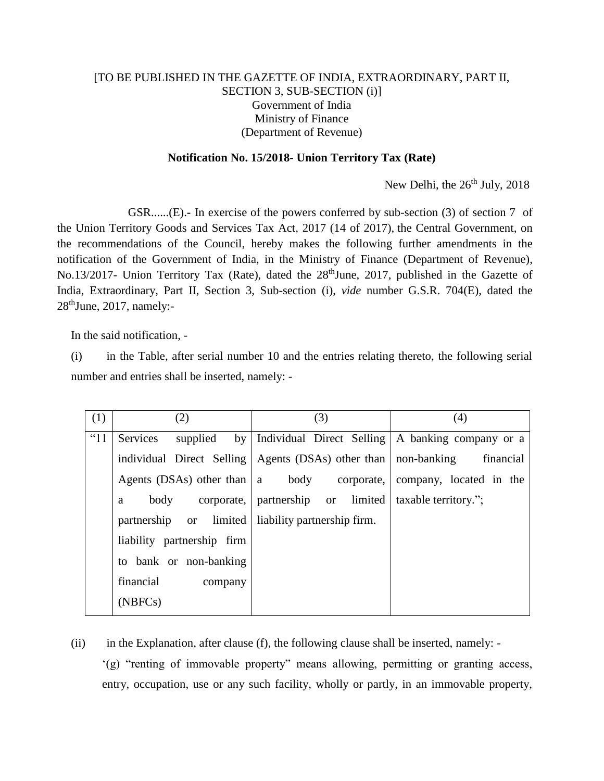## [TO BE PUBLISHED IN THE GAZETTE OF INDIA, EXTRAORDINARY, PART II, SECTION 3, SUB-SECTION (i)] Government of India Ministry of Finance (Department of Revenue)

## **Notification No. 15/2018- Union Territory Tax (Rate)**

New Delhi, the 26<sup>th</sup> July, 2018

GSR......(E).**-** In exercise of the powers conferred by sub-section (3) of section 7 of the Union Territory Goods and Services Tax Act, 2017 (14 of 2017), the Central Government, on the recommendations of the Council, hereby makes the following further amendments in the notification of the Government of India, in the Ministry of Finance (Department of Revenue), No.13/2017- Union Territory Tax (Rate), dated the 28<sup>th</sup>June, 2017, published in the Gazette of India, Extraordinary, Part II, Section 3, Sub-section (i), *vide* number G.S.R. 704(E), dated the  $28<sup>th</sup>$ June, 2017, namely:-

In the said notification, -

(i) in the Table, after serial number 10 and the entries relating thereto, the following serial number and entries shall be inserted, namely: -

| (1)      | (2)                            | (3)                                                | (4)                     |
|----------|--------------------------------|----------------------------------------------------|-------------------------|
| $\lq$ 11 | by<br>Services<br>supplied     | Individual Direct Selling   A banking company or a |                         |
|          | individual Direct Selling      | Agents (DSAs) other than   non-banking             | financial               |
|          | Agents (DSAs) other than $ a $ | body corporate,                                    | company, located in the |
|          | body<br>a                      | corporate, partnership or limited                  | taxable territory.";    |
|          | partnership or limited         | liability partnership firm.                        |                         |
|          | liability partnership firm     |                                                    |                         |
|          | to bank or non-banking         |                                                    |                         |
|          | financial<br>company           |                                                    |                         |
|          | (NBFCs)                        |                                                    |                         |

(ii) in the Explanation, after clause (f), the following clause shall be inserted, namely: -

'(g) "renting of immovable property" means allowing, permitting or granting access, entry, occupation, use or any such facility, wholly or partly, in an immovable property,